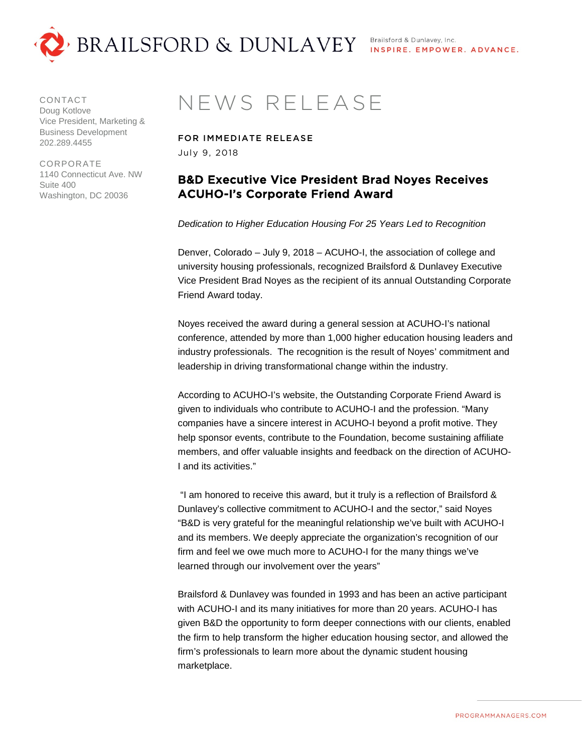

CONTACT Doug Kotlove Vice President, Marketing & Business Development 202.289.4455

CORPORATE 1140 Connecticut Ave. NW Suite 400 Washington, DC 20036

## NEWS RELEASE

FOR IMMEDIATE RELEASE July 9, 2018

## B&D Executive Vice President Brad Noyes Receives ACUHO-I's Corporate Friend Award

*Dedication to Higher Education Housing For 25 Years Led to Recognition*

Denver, Colorado – July 9, 2018 – ACUHO-I, the association of college and university housing professionals, recognized Brailsford & Dunlavey Executive Vice President Brad Noyes as the recipient of its annual Outstanding Corporate Friend Award today.

Noyes received the award during a general session at ACUHO-I's national conference, attended by more than 1,000 higher education housing leaders and industry professionals. The recognition is the result of Noyes' commitment and leadership in driving transformational change within the industry.

According to ACUHO-I's website, the Outstanding Corporate Friend Award is given to individuals who contribute to ACUHO-I and the profession. "Many companies have a sincere interest in ACUHO-I beyond a profit motive. They help sponsor events, contribute to the Foundation, become sustaining affiliate members, and offer valuable insights and feedback on the direction of ACUHO-I and its activities."

"I am honored to receive this award, but it truly is a reflection of Brailsford & Dunlavey's collective commitment to ACUHO-I and the sector," said Noyes "B&D is very grateful for the meaningful relationship we've built with ACUHO-I and its members. We deeply appreciate the organization's recognition of our firm and feel we owe much more to ACUHO-I for the many things we've learned through our involvement over the years"

Brailsford & Dunlavey was founded in 1993 and has been an active participant with ACUHO-I and its many initiatives for more than 20 years. ACUHO-I has given B&D the opportunity to form deeper connections with our clients, enabled the firm to help transform the higher education housing sector, and allowed the firm's professionals to learn more about the dynamic student housing marketplace.